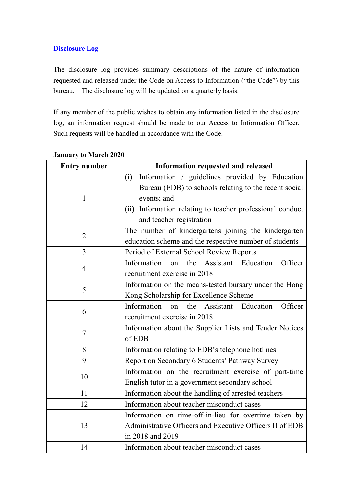### **Disclosure Log**

The disclosure log provides summary descriptions of the nature of information requested and released under the Code on Access to Information ("the Code") by this bureau. The disclosure log will be updated on a quarterly basis.

If any member of the public wishes to obtain any information listed in the disclosure log, an information request should be made to our Access to Information Officer. Such requests will be handled in accordance with the Code.

| <b>Entry number</b> | Information requested and released                        |
|---------------------|-----------------------------------------------------------|
|                     | Information / guidelines provided by Education<br>(i)     |
|                     | Bureau (EDB) to schools relating to the recent social     |
| $\mathbf{1}$        | events; and                                               |
|                     | (ii) Information relating to teacher professional conduct |
|                     | and teacher registration                                  |
|                     | The number of kindergartens joining the kindergarten      |
| $\overline{2}$      | education scheme and the respective number of students    |
| 3                   | Period of External School Review Reports                  |
|                     | on the Assistant Education<br>Information<br>Officer      |
| 4                   | recruitment exercise in 2018                              |
|                     | Information on the means-tested bursary under the Hong    |
| 5                   | Kong Scholarship for Excellence Scheme                    |
|                     | Information<br>the Assistant Education<br>Officer<br>on   |
| 6                   | recruitment exercise in 2018                              |
|                     | Information about the Supplier Lists and Tender Notices   |
| 7                   | of EDB                                                    |
| 8                   | Information relating to EDB's telephone hotlines          |
| 9                   | Report on Secondary 6 Students' Pathway Survey            |
|                     | Information on the recruitment exercise of part-time      |
| 10                  | English tutor in a government secondary school            |
| 11                  | Information about the handling of arrested teachers       |
| 12                  | Information about teacher misconduct cases                |
| 13                  | Information on time-off-in-lieu for overtime taken by     |
|                     | Administrative Officers and Executive Officers II of EDB  |
|                     | in 2018 and 2019                                          |
| 14                  | Information about teacher misconduct cases                |

#### **January to March 2020**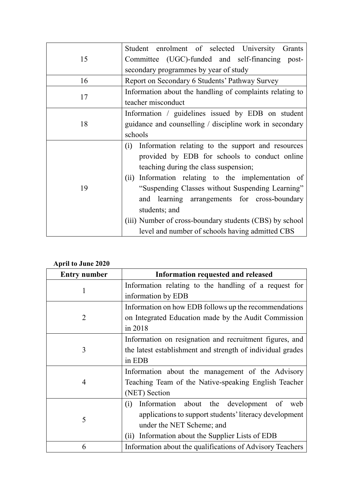| 15 | Student enrolment of selected University<br>Grants       |
|----|----------------------------------------------------------|
|    | Committee (UGC)-funded and self-financing<br>post-       |
|    | secondary programmes by year of study                    |
| 16 | Report on Secondary 6 Students' Pathway Survey           |
| 17 | Information about the handling of complaints relating to |
|    | teacher misconduct                                       |
|    | Information / guidelines issued by EDB on student        |
| 18 | guidance and counselling / discipline work in secondary  |
|    | schools                                                  |
|    | Information relating to the support and resources<br>(i) |
| 19 | provided by EDB for schools to conduct online            |
|    | teaching during the class suspension;                    |
|    | Information relating to the implementation of<br>(ii)    |
|    | "Suspending Classes without Suspending Learning"         |
|    | and learning arrangements for cross-boundary             |
|    | students; and                                            |
|    | (iii) Number of cross-boundary students (CBS) by school  |
|    | level and number of schools having admitted CBS          |

## **April to June 2020**

| <b>Entry number</b> | Information requested and released                         |
|---------------------|------------------------------------------------------------|
| 1                   | Information relating to the handling of a request for      |
|                     | information by EDB                                         |
| $\overline{2}$      | Information on how EDB follows up the recommendations      |
|                     | on Integrated Education made by the Audit Commission       |
|                     | in 2018                                                    |
| 3                   | Information on resignation and recruitment figures, and    |
|                     | the latest establishment and strength of individual grades |
|                     | in EDB                                                     |
| 4                   | Information about the management of the Advisory           |
|                     | Teaching Team of the Native-speaking English Teacher       |
|                     | (NET) Section                                              |
| 5                   | Information about the development of<br>(i)<br>web         |
|                     | applications to support students' literacy development     |
|                     | under the NET Scheme; and                                  |
|                     | (ii)<br>Information about the Supplier Lists of EDB        |
| 6                   | Information about the qualifications of Advisory Teachers  |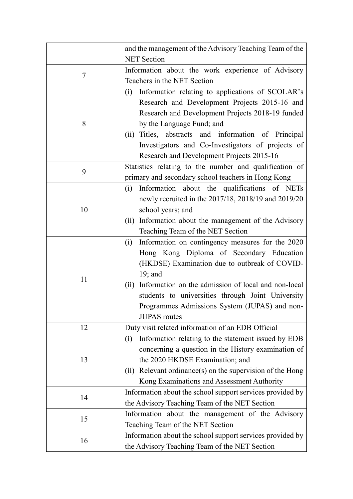|    | and the management of the Advisory Teaching Team of the      |
|----|--------------------------------------------------------------|
|    | <b>NET</b> Section                                           |
| 7  | Information about the work experience of Advisory            |
|    | Teachers in the NET Section                                  |
|    | Information relating to applications of SCOLAR's<br>(i)      |
|    | Research and Development Projects 2015-16 and                |
|    | Research and Development Projects 2018-19 funded             |
| 8  | by the Language Fund; and                                    |
|    | Titles, abstracts and information of Principal<br>(ii)       |
|    | Investigators and Co-Investigators of projects of            |
|    | Research and Development Projects 2015-16                    |
| 9  | Statistics relating to the number and qualification of       |
|    | primary and secondary school teachers in Hong Kong           |
|    | Information about the qualifications of NETs<br>(i)          |
|    | newly recruited in the 2017/18, 2018/19 and 2019/20          |
| 10 | school years; and                                            |
|    | Information about the management of the Advisory<br>(ii)     |
|    | Teaching Team of the NET Section                             |
|    | Information on contingency measures for the 2020<br>(i)      |
|    | Hong Kong Diploma of Secondary Education                     |
|    | (HKDSE) Examination due to outbreak of COVID-                |
| 11 | 19; and                                                      |
|    | Information on the admission of local and non-local<br>(ii)  |
|    | students to universities through Joint University            |
|    | Programmes Admissions System (JUPAS) and non-                |
|    | <b>JUPAS</b> routes                                          |
| 12 | Duty visit related information of an EDB Official            |
|    | Information relating to the statement issued by EDB<br>(i)   |
|    | concerning a question in the History examination of          |
| 13 | the 2020 HKDSE Examination; and                              |
|    | Relevant ordinance(s) on the supervision of the Hong<br>(ii) |
|    | Kong Examinations and Assessment Authority                   |
| 14 | Information about the school support services provided by    |
|    | the Advisory Teaching Team of the NET Section                |
| 15 | Information about the management of the Advisory             |
|    | Teaching Team of the NET Section                             |
| 16 | Information about the school support services provided by    |
|    | the Advisory Teaching Team of the NET Section                |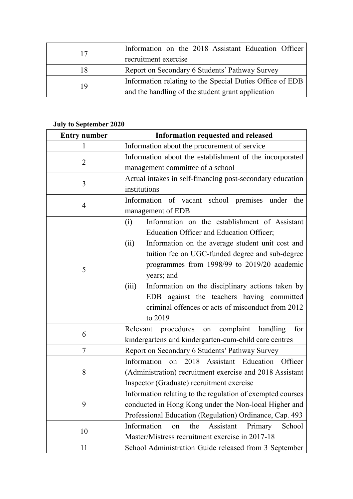| 17 | Information on the 2018 Assistant Education Officer      |
|----|----------------------------------------------------------|
|    | recruitment exercise                                     |
| 18 | Report on Secondary 6 Students' Pathway Survey           |
| 19 | Information relating to the Special Duties Office of EDB |
|    | and the handling of the student grant application        |

### **July to September 2020**

| <b>Entry number</b> | Information requested and released                         |
|---------------------|------------------------------------------------------------|
| 1                   | Information about the procurement of service               |
|                     | Information about the establishment of the incorporated    |
| $\overline{2}$      | management committee of a school                           |
|                     | Actual intakes in self-financing post-secondary education  |
| 3                   | institutions                                               |
|                     | Information of vacant school premises under the            |
| $\overline{4}$      | management of EDB                                          |
|                     | Information on the establishment of Assistant<br>(i)       |
|                     | Education Officer and Education Officer;                   |
|                     | Information on the average student unit cost and<br>(ii)   |
|                     | tuition fee on UGC-funded degree and sub-degree            |
|                     | programmes from 1998/99 to 2019/20 academic                |
| 5                   | years; and                                                 |
|                     | Information on the disciplinary actions taken by<br>(iii)  |
|                     | EDB against the teachers having committed                  |
|                     | criminal offences or acts of misconduct from 2012          |
|                     | to 2019                                                    |
|                     | Relevant procedures on complaint handling<br>for           |
| 6                   | kindergartens and kindergarten-cum-child care centres      |
| $\tau$              | Report on Secondary 6 Students' Pathway Survey             |
|                     | Information on 2018 Assistant Education Officer            |
| 8                   | (Administration) recruitment exercise and 2018 Assistant   |
|                     | Inspector (Graduate) recruitment exercise                  |
| 9                   | Information relating to the regulation of exempted courses |
|                     | conducted in Hong Kong under the Non-local Higher and      |
|                     | Professional Education (Regulation) Ordinance, Cap. 493    |
| 10                  | Information<br>Assistant<br>the<br>Primary<br>School<br>on |
|                     | Master/Mistress recruitment exercise in 2017-18            |
| 11                  | School Administration Guide released from 3 September      |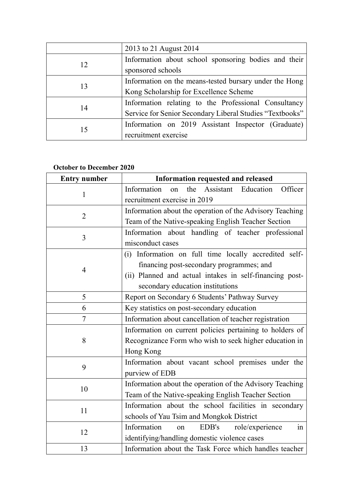|    | 2013 to 21 August 2014                                   |
|----|----------------------------------------------------------|
| 12 | Information about school sponsoring bodies and their     |
|    | sponsored schools                                        |
| 13 | Information on the means-tested bursary under the Hong   |
|    | Kong Scholarship for Excellence Scheme                   |
| 14 | Information relating to the Professional Consultancy     |
|    | Service for Senior Secondary Liberal Studies "Textbooks" |
| 15 | Information on 2019 Assistant Inspector (Graduate)       |
|    | recruitment exercise                                     |

# **October to December 2020**

| <b>Entry number</b> | Information requested and released                       |
|---------------------|----------------------------------------------------------|
| 1                   | Officer<br>Information<br>the Assistant Education<br>on  |
|                     | recruitment exercise in 2019                             |
| $\overline{2}$      | Information about the operation of the Advisory Teaching |
|                     | Team of the Native-speaking English Teacher Section      |
|                     | Information about handling of teacher professional       |
| 3                   | misconduct cases                                         |
|                     | (i) Information on full time locally accredited self-    |
|                     | financing post-secondary programmes; and                 |
| $\overline{4}$      | (ii) Planned and actual intakes in self-financing post-  |
|                     | secondary education institutions                         |
| 5                   | Report on Secondary 6 Students' Pathway Survey           |
| 6                   | Key statistics on post-secondary education               |
| 7                   | Information about cancellation of teacher registration   |
|                     | Information on current policies pertaining to holders of |
| 8                   | Recognizance Form who wish to seek higher education in   |
|                     | Hong Kong                                                |
|                     | Information about vacant school premises under the       |
| 9                   | purview of EDB                                           |
|                     | Information about the operation of the Advisory Teaching |
| 10                  | Team of the Native-speaking English Teacher Section      |
| 11                  | Information about the school facilities in secondary     |
|                     | schools of Yau Tsim and Mongkok District                 |
| 12                  | EDB's<br>Information<br>role/experience<br>in<br>on      |
|                     | identifying/handling domestic violence cases             |
| 13                  | Information about the Task Force which handles teacher   |